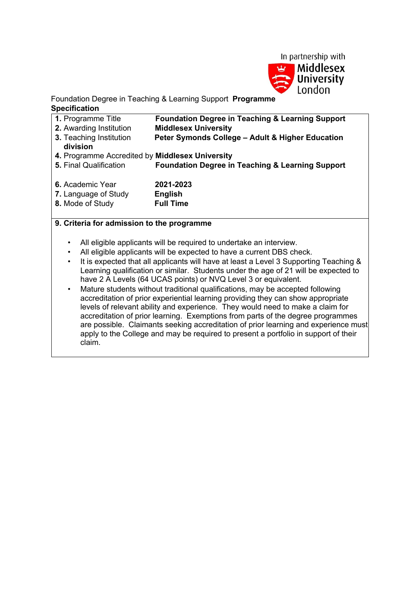

## Foundation Degree in Teaching & Learning Support **Programme Specification**

| 1. Programme Title                                                                 | <b>Foundation Degree in Teaching &amp; Learning Support</b>                                                                                                                                                                                    |  |  |  |
|------------------------------------------------------------------------------------|------------------------------------------------------------------------------------------------------------------------------------------------------------------------------------------------------------------------------------------------|--|--|--|
| 2. Awarding Institution                                                            | <b>Middlesex University</b>                                                                                                                                                                                                                    |  |  |  |
| 3. Teaching Institution<br>division                                                | Peter Symonds College - Adult & Higher Education                                                                                                                                                                                               |  |  |  |
| 4. Programme Accredited by Middlesex University                                    |                                                                                                                                                                                                                                                |  |  |  |
| 5. Final Qualification                                                             | <b>Foundation Degree in Teaching &amp; Learning Support</b>                                                                                                                                                                                    |  |  |  |
| 6. Academic Year                                                                   | 2021-2023                                                                                                                                                                                                                                      |  |  |  |
| 7. Language of Study                                                               | <b>English</b>                                                                                                                                                                                                                                 |  |  |  |
| 8. Mode of Study                                                                   | <b>Full Time</b>                                                                                                                                                                                                                               |  |  |  |
| 9. Criteria for admission to the programme                                         |                                                                                                                                                                                                                                                |  |  |  |
| $\bullet$                                                                          | All eligible applicants will be required to undertake an interview.                                                                                                                                                                            |  |  |  |
| All eligible applicants will be expected to have a current DBS check.<br>$\bullet$ |                                                                                                                                                                                                                                                |  |  |  |
| $\bullet$                                                                          | It is expected that all applicants will have at least a Level 3 Supporting Teaching &<br>Learning qualification or similar. Students under the age of 21 will be expected to<br>have 2 A Levels (64 UCAS points) or NVQ Level 3 or equivalent. |  |  |  |

• Mature students without traditional qualifications, may be accepted following accreditation of prior experiential learning providing they can show appropriate levels of relevant ability and experience. They would need to make a claim for accreditation of prior learning. Exemptions from parts of the degree programmes are possible. Claimants seeking accreditation of prior learning and experience must apply to the College and may be required to present a portfolio in support of their claim.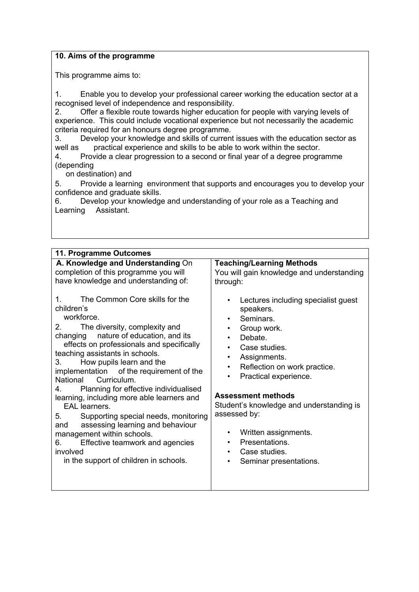## **10. Aims of the programme**

This programme aims to:

1. Enable you to develop your professional career working the education sector at a recognised level of independence and responsibility.

2. Offer a flexible route towards higher education for people with varying levels of experience. This could include vocational experience but not necessarily the academic criteria required for an honours degree programme.

3. Develop your knowledge and skills of current issues with the education sector as well as practical experience and skills to be able to work within the sector.

4. Provide a clear progression to a second or final year of a degree programme (depending

on destination) and

5. Provide a learning environment that supports and encourages you to develop your confidence and graduate skills.

6. Develop your knowledge and understanding of your role as a Teaching and Learning Assistant.

| <b>Teaching/Learning Methods</b><br>You will gain knowledge and understanding<br>through:<br>Lectures including specialist guest<br>speakers.<br>Seminars.<br>$\bullet$<br>Group work.<br>Debate.<br>Case studies.<br>Assignments.<br>٠<br>Reflection on work practice.<br>$\bullet$ |
|--------------------------------------------------------------------------------------------------------------------------------------------------------------------------------------------------------------------------------------------------------------------------------------|
| Practical experience.<br><b>Assessment methods</b><br>Student's knowledge and understanding is<br>assessed by:<br>Written assignments.<br>٠<br>Presentations.<br>$\bullet$<br>Case studies.<br>Seminar presentations.<br>٠                                                           |
| Supporting special needs, monitoring                                                                                                                                                                                                                                                 |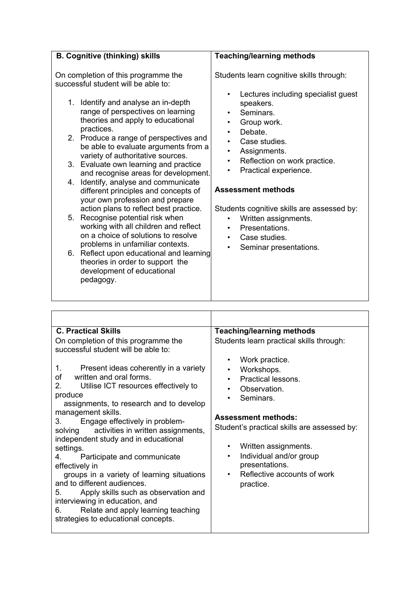| <b>B. Cognitive (thinking) skills</b>                                                                                                                     | <b>Teaching/learning methods</b>                                                |  |
|-----------------------------------------------------------------------------------------------------------------------------------------------------------|---------------------------------------------------------------------------------|--|
| On completion of this programme the<br>successful student will be able to:                                                                                | Students learn cognitive skills through:<br>Lectures including specialist guest |  |
| 1. Identify and analyse an in-depth<br>range of perspectives on learning<br>theories and apply to educational<br>practices.                               | speakers.<br>Seminars.<br>Group work.                                           |  |
| 2. Produce a range of perspectives and<br>be able to evaluate arguments from a<br>variety of authoritative sources.                                       | Debate.<br>$\bullet$<br>Case studies.<br>$\bullet$<br>Assignments.<br>$\bullet$ |  |
| 3. Evaluate own learning and practice<br>and recognise areas for development.                                                                             | Reflection on work practice.<br>٠<br>Practical experience.                      |  |
| 4. Identify, analyse and communicate<br>different principles and concepts of<br>your own profession and prepare<br>action plans to reflect best practice. | <b>Assessment methods</b><br>Students cognitive skills are assessed by:         |  |
| 5. Recognise potential risk when<br>working with all children and reflect<br>on a choice of solutions to resolve<br>problems in unfamiliar contexts.      | Written assignments.<br>Presentations.<br>Case studies.<br>$\bullet$            |  |
| 6. Reflect upon educational and learning<br>theories in order to support the<br>development of educational<br>pedagogy.                                   | Seminar presentations.                                                          |  |

| <b>C. Practical Skills</b>                                                                                                                                                                                                                                                                                                                                                                                                                                                                                                                                                                                                                                                                                                                     | <b>Teaching/learning methods</b>                                                                                                                                                                                                                                                                                                                                           |
|------------------------------------------------------------------------------------------------------------------------------------------------------------------------------------------------------------------------------------------------------------------------------------------------------------------------------------------------------------------------------------------------------------------------------------------------------------------------------------------------------------------------------------------------------------------------------------------------------------------------------------------------------------------------------------------------------------------------------------------------|----------------------------------------------------------------------------------------------------------------------------------------------------------------------------------------------------------------------------------------------------------------------------------------------------------------------------------------------------------------------------|
| On completion of this programme the<br>successful student will be able to:<br>Present ideas coherently in a variety<br>1.<br>written and oral forms.<br>οf<br>$2_{-}$<br>Utilise ICT resources effectively to<br>produce<br>assignments, to research and to develop<br>management skills.<br>3.<br>Engage effectively in problem-<br>activities in written assignments,<br>solving<br>independent study and in educational<br>settings.<br>4.<br>Participate and communicate<br>effectively in<br>groups in a variety of learning situations<br>and to different audiences.<br>Apply skills such as observation and<br>5.<br>interviewing in education, and<br>Relate and apply learning teaching<br>6.<br>strategies to educational concepts. | Students learn practical skills through:<br>Work practice.<br>٠<br>Workshops.<br>$\bullet$<br>Practical lessons.<br>$\bullet$<br>Observation.<br>Seminars.<br><b>Assessment methods:</b><br>Student's practical skills are assessed by:<br>Written assignments.<br>٠<br>Individual and/or group<br>$\bullet$<br>presentations.<br>Reflective accounts of work<br>practice. |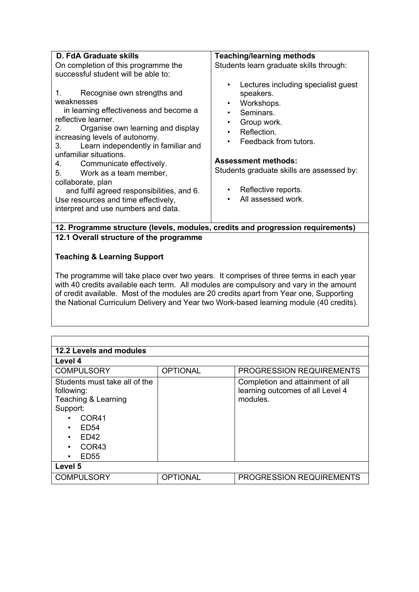| D. FdA Graduate skills                                                                                                                                                                                                                                                                                                                                                                                                                                                                  | <b>Teaching/learning methods</b>                                                                                                                                                                                                                                                                                            |  |  |  |
|-----------------------------------------------------------------------------------------------------------------------------------------------------------------------------------------------------------------------------------------------------------------------------------------------------------------------------------------------------------------------------------------------------------------------------------------------------------------------------------------|-----------------------------------------------------------------------------------------------------------------------------------------------------------------------------------------------------------------------------------------------------------------------------------------------------------------------------|--|--|--|
| On completion of this programme the                                                                                                                                                                                                                                                                                                                                                                                                                                                     | Students learn graduate skills through:                                                                                                                                                                                                                                                                                     |  |  |  |
| successful student will be able to:                                                                                                                                                                                                                                                                                                                                                                                                                                                     |                                                                                                                                                                                                                                                                                                                             |  |  |  |
| Recognise own strengths and<br>1.<br>weaknesses<br>in learning effectiveness and become a<br>reflective learner.<br>Organise own learning and display<br>2.<br>increasing levels of autonomy.<br>Learn independently in familiar and<br>3.<br>unfamiliar situations.<br>Communicate effectively.<br>4.<br>5.<br>Work as a team member,<br>collaborate, plan<br>and fulfil agreed responsibilities, and 6.<br>Use resources and time effectively,<br>interpret and use numbers and data. | Lectures including specialist guest<br>$\bullet$<br>speakers.<br>Workshops.<br>$\bullet$<br>Seminars.<br>Group work.<br>Reflection.<br>Feedback from tutors.<br>$\bullet$<br><b>Assessment methods:</b><br>Students graduate skills are assessed by:<br>Reflective reports.<br>$\bullet$<br>All assessed work.<br>$\bullet$ |  |  |  |
| 12. Programme structure (levels, modules, credits and progression requirements)                                                                                                                                                                                                                                                                                                                                                                                                         |                                                                                                                                                                                                                                                                                                                             |  |  |  |
| 12.1 Overall structure of the programme                                                                                                                                                                                                                                                                                                                                                                                                                                                 |                                                                                                                                                                                                                                                                                                                             |  |  |  |

# **Teaching & Learning Support**

The programme will take place over two years. It comprises of three terms in each year with 40 credits available each term. All modules are compulsory and vary in the amount of credit available. Most of the modules are 20 credits apart from Year one, Supporting the National Curriculum Delivery and Year two Work-based learning module (40 credits).

| 12.2 Levels and modules                                                                                                                                                                                          |                 |                                                                                  |  |  |
|------------------------------------------------------------------------------------------------------------------------------------------------------------------------------------------------------------------|-----------------|----------------------------------------------------------------------------------|--|--|
| Level 4                                                                                                                                                                                                          |                 |                                                                                  |  |  |
| <b>COMPULSORY</b>                                                                                                                                                                                                | <b>OPTIONAL</b> | <b>PROGRESSION REQUIREMENTS</b>                                                  |  |  |
| Students must take all of the<br>following:<br>Teaching & Learning<br>Support:<br>COR41<br>$\bullet$<br><b>ED54</b><br>٠<br>ED42<br>$\bullet$<br>COR <sub>43</sub><br>$\bullet$<br>ED <sub>55</sub><br>$\bullet$ |                 | Completion and attainment of all<br>learning outcomes of all Level 4<br>modules. |  |  |
| Level 5                                                                                                                                                                                                          |                 |                                                                                  |  |  |
| <b>COMPULSORY</b>                                                                                                                                                                                                | <b>OPTIONAL</b> | <b>PROGRESSION REQUIREMENTS</b>                                                  |  |  |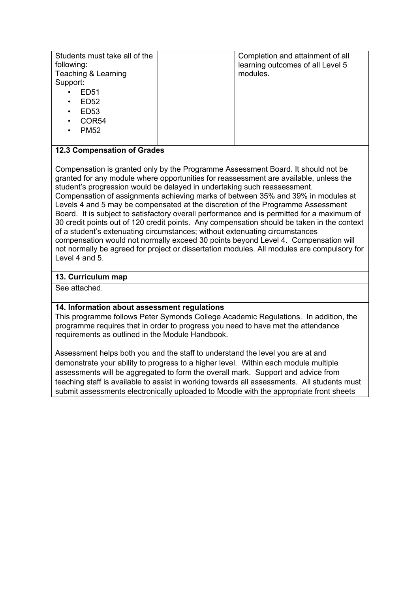| Students must take all of the<br>following:<br>Teaching & Learning | Completion and attainment of all<br>learning outcomes of all Level 5<br>modules. |
|--------------------------------------------------------------------|----------------------------------------------------------------------------------|
| Support:                                                           |                                                                                  |
| ED51<br>٠                                                          |                                                                                  |
| <b>ED52</b><br>٠                                                   |                                                                                  |
| <b>ED53</b><br>٠                                                   |                                                                                  |
| COR <sub>54</sub><br>٠                                             |                                                                                  |
| <b>PM52</b><br>٠                                                   |                                                                                  |
|                                                                    |                                                                                  |

## **12.3 Compensation of Grades**

Compensation is granted only by the Programme Assessment Board. It should not be granted for any module where opportunities for reassessment are available, unless the student's progression would be delayed in undertaking such reassessment. Compensation of assignments achieving marks of between 35% and 39% in modules at Levels 4 and 5 may be compensated at the discretion of the Programme Assessment Board. It is subject to satisfactory overall performance and is permitted for a maximum of 30 credit points out of 120 credit points. Any compensation should be taken in the context of a student's extenuating circumstances; without extenuating circumstances compensation would not normally exceed 30 points beyond Level 4. Compensation will not normally be agreed for project or dissertation modules. All modules are compulsory for Level 4 and 5.

#### **13. Curriculum map**

See attached.

#### **14. Information about assessment regulations**

This programme follows Peter Symonds College Academic Regulations. In addition, the programme requires that in order to progress you need to have met the attendance requirements as outlined in the Module Handbook.

Assessment helps both you and the staff to understand the level you are at and demonstrate your ability to progress to a higher level. Within each module multiple assessments will be aggregated to form the overall mark. Support and advice from teaching staff is available to assist in working towards all assessments. All students must submit assessments electronically uploaded to Moodle with the appropriate front sheets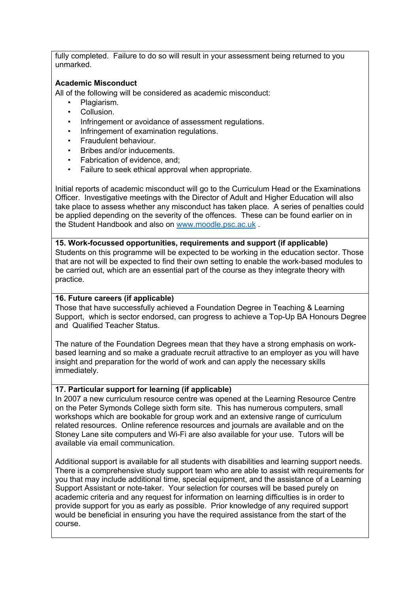fully completed. Failure to do so will result in your assessment being returned to you unmarked.

## **Academic Misconduct**

All of the following will be considered as academic misconduct:

- Plagiarism.
- Collusion.
- Infringement or avoidance of assessment regulations.
- Infringement of examination regulations.
- Fraudulent behaviour.
- Bribes and/or inducements.
- Fabrication of evidence, and;
- Failure to seek ethical approval when appropriate.

Initial reports of academic misconduct will go to the Curriculum Head or the Examinations Officer. Investigative meetings with the Director of Adult and Higher Education will also take place to assess whether any misconduct has taken place. A series of penalties could be applied depending on the severity of the offences. These can be found earlier on in the Student Handbook and also on www.moodle.psc.ac.uk .

#### **15. Work-focussed opportunities, requirements and support (if applicable)**

Students on this programme will be expected to be working in the education sector. Those that are not will be expected to find their own setting to enable the work-based modules to be carried out, which are an essential part of the course as they integrate theory with practice.

#### **16. Future careers (if applicable)**

Those that have successfully achieved a Foundation Degree in Teaching & Learning Support, which is sector endorsed, can progress to achieve a Top-Up BA Honours Degree and Qualified Teacher Status.

The nature of the Foundation Degrees mean that they have a strong emphasis on workbased learning and so make a graduate recruit attractive to an employer as you will have insight and preparation for the world of work and can apply the necessary skills immediately.

#### **17. Particular support for learning (if applicable)**

In 2007 a new curriculum resource centre was opened at the Learning Resource Centre on the Peter Symonds College sixth form site. This has numerous computers, small workshops which are bookable for group work and an extensive range of curriculum related resources. Online reference resources and journals are available and on the Stoney Lane site computers and Wi-Fi are also available for your use. Tutors will be available via email communication.

Additional support is available for all students with disabilities and learning support needs. There is a comprehensive study support team who are able to assist with requirements for you that may include additional time, special equipment, and the assistance of a Learning Support Assistant or note-taker. Your selection for courses will be based purely on academic criteria and any request for information on learning difficulties is in order to provide support for you as early as possible. Prior knowledge of any required support would be beneficial in ensuring you have the required assistance from the start of the course.